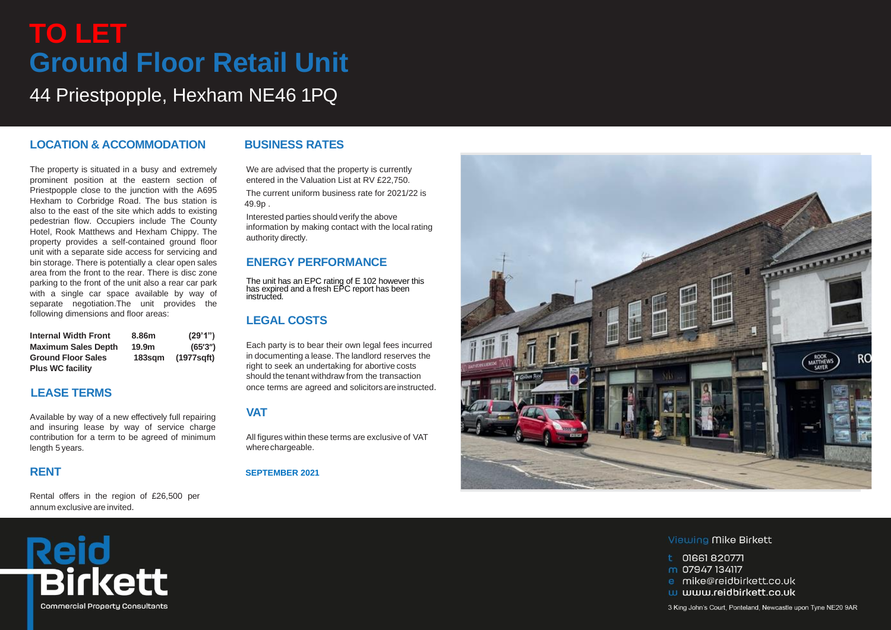# **TO LET Ground Floor Retail Unit**

44 Priestpopple, Hexham NE46 1PQ

#### **LOCATION & ACCOMMODATION**

The property is situated in a busy and extremely prominent position at the eastern section of Priestpopple close to the junction with the A695 Hexham to Corbridge Road. The bus station is also to the east of the site which adds to existing pedestrian flow. Occupiers include The County Hotel, Rook Matthews and Hexham Chippy. The property provides a self-contained ground floor unit with a separate side access for servicing and bin storage. There is potentially a clear open sales area from the front to the rear. There is disc zone parking to the front of the unit also a rear car park with a single car space available by way of separate negotiation.The unit provides the following dimensions and floor areas:

| <b>Internal Width Front</b> | 8.86m             | (29'1'')   |
|-----------------------------|-------------------|------------|
| <b>Maximum Sales Depth</b>  | 19.9 <sub>m</sub> | (65'3'')   |
| <b>Ground Floor Sales</b>   | 183sam            | (1977sqft) |
| <b>Plus WC facility</b>     |                   |            |

### **LEASE TERMS**

Available by way of a new effectively full repairing and insuring lease by way of service charge contribution for a term to be agreed of minimum length 5 years.

#### **RENT**

Rental offers in the region of £26,500 per annum exclusive are invited.

#### **BUSINESS RATES**

We are advised that the property is currently entered in the Valuation List at RV £22,750.

The current uniform business rate for 2021/22 is 49.9p .

Interested parties should verify the above information by making contact with the local rating authority directly.

### **ENERGY PERFORMANCE**

The unit has an EPC rating of E 102 however this has expired and a fresh EPC report has been instructed.

#### **LEGAL COSTS**

Each party is to bear their own legal fees incurred in documenting a lease. The landlord reserves the right to seek an undertaking for abortive costs should the tenant withdraw from the transaction once terms are agreed and solicitorsareinstructed.

#### **VAT**

All figures within these terms are exclusive of VAT wherechargeable.

#### **SEPTEMBER 2021**



#### Viewing Mike Birkett

- t 01661 820771
- m 07947 134117
- e mike@reidbirkett.co.uk
- w www.reidbirkett.co.uk

3 King John's Court, Ponteland, Newcastle upon Tyne NE20 9AR